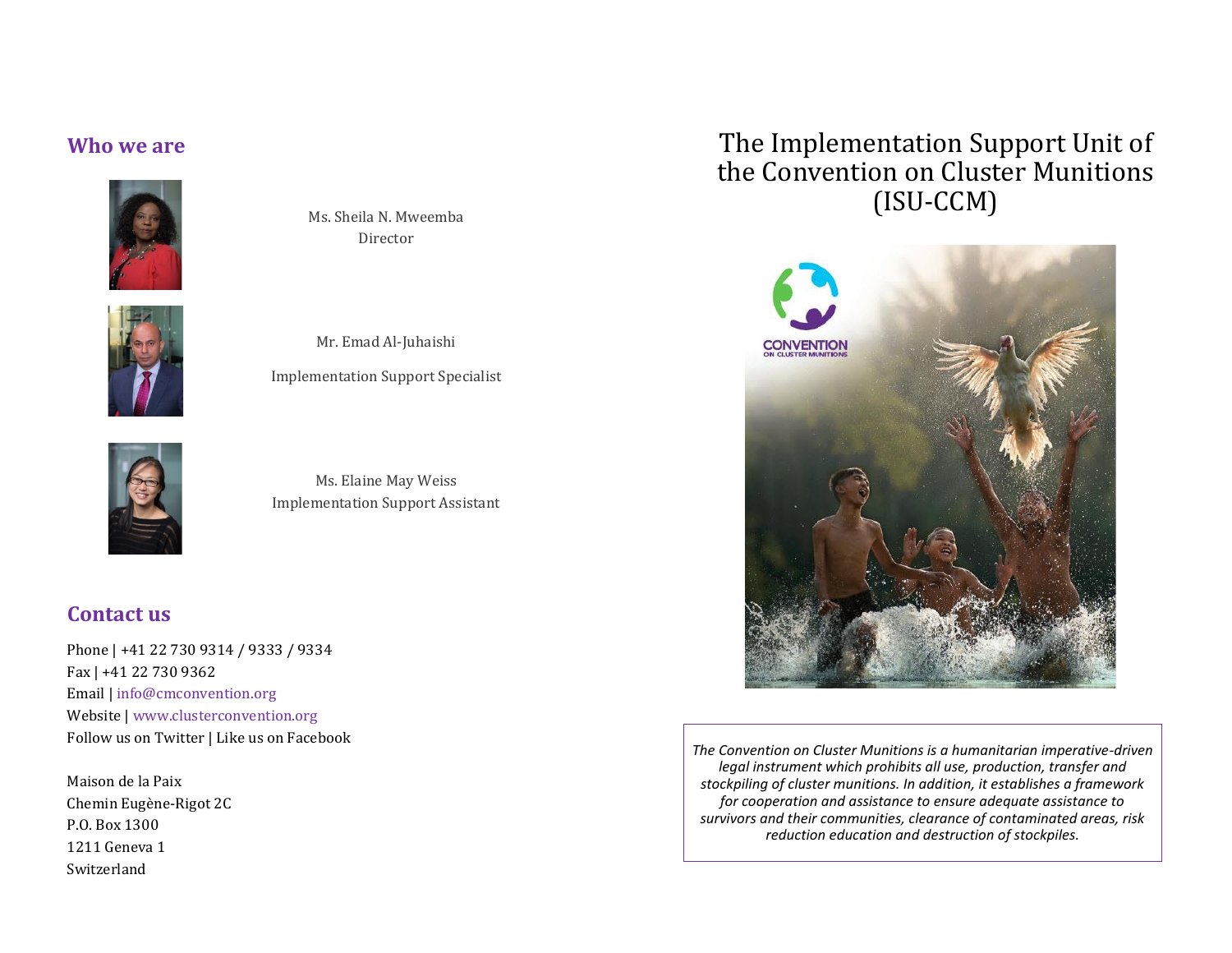#### **Who we are**



Ms. Sheila N. Mweemba Director



Mr. Emad Al-Juhaishi Implementation Support Specialist



Ms. Elaine May Weiss Implementation Support Assistant

#### **Contact us**

Phone | +41 22 730 9314 / 9333 / 9334 Fax | +41 22 730 9362 Email | [info@cmconvention.org](mailto:info@cmconvention.org) Website [| www.clusterconvention.org](http://www.clusterconvention.org/) Follow us on Twitter | Like us on Facebook

Maison de la Paix Chemin Eugène-Rigot 2C P.O. Box 1300 1211 Geneva 1 Switzerland

# The Implementation Support Unit of the Convention on Cluster Munitions (ISU-CCM)



*The Convention on Cluster Munitions is a humanitarian imperative-driven legal instrument which prohibits all use, production, transfer and stockpiling of cluster munitions. In addition, it establishes a framework for cooperation and assistance to ensure adequate assistance to survivors and their communities, clearance of contaminated areas, risk reduction education and destruction of stockpiles.*